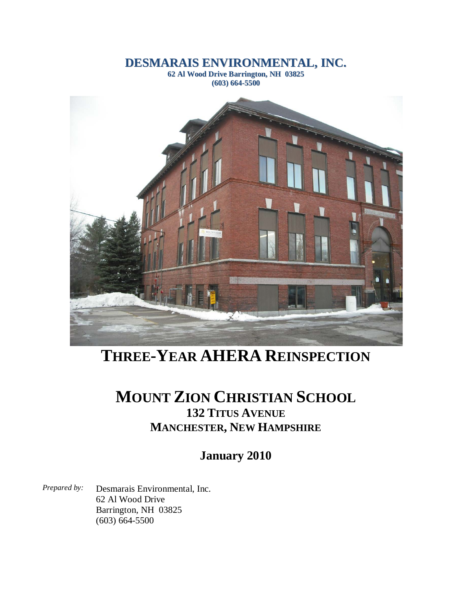### **DESMARAIS ENVIRONMENTAL, INC.**

**62 Al Wood Drive Barrington, NH 03825 (603) 664-5500**



# **THREE-YEAR AHERA REINSPECTION**

## **MOUNT ZION CHRISTIAN SCHOOL 132 TITUS AVENUE MANCHESTER, NEW HAMPSHIRE**

**January 2010**

*Prepared by:* Desmarais Environmental, Inc. 62 Al Wood Drive Barrington, NH 03825 (603) 664-5500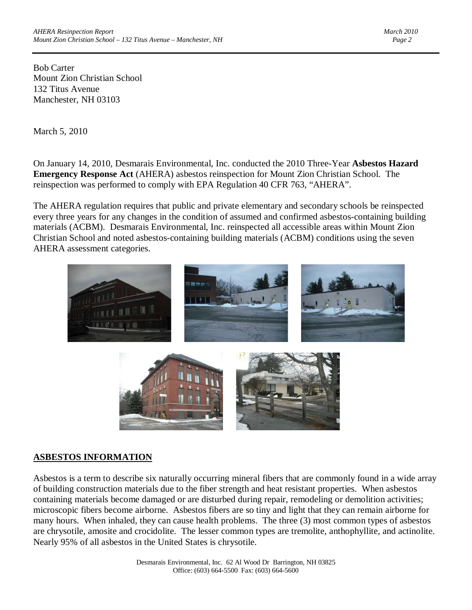Bob Carter Mount Zion Christian School 132 Titus Avenue Manchester, NH 03103

March 5, 2010

On January 14, 2010, Desmarais Environmental, Inc. conducted the 2010 Three-Year **Asbestos Hazard Emergency Response Act** (AHERA) asbestos reinspection for Mount Zion Christian School. The reinspection was performed to comply with EPA Regulation 40 CFR 763, "AHERA".

The AHERA regulation requires that public and private elementary and secondary schools be reinspected every three years for any changes in the condition of assumed and confirmed asbestos-containing building materials (ACBM). Desmarais Environmental, Inc. reinspected all accessible areas within Mount Zion Christian School and noted asbestos-containing building materials (ACBM) conditions using the seven AHERA assessment categories.



#### **ASBESTOS INFORMATION**

Asbestos is a term to describe six naturally occurring mineral fibers that are commonly found in a wide array of building construction materials due to the fiber strength and heat resistant properties. When asbestos containing materials become damaged or are disturbed during repair, remodeling or demolition activities; microscopic fibers become airborne. Asbestos fibers are so tiny and light that they can remain airborne for many hours. When inhaled, they can cause health problems. The three (3) most common types of asbestos are chrysotile, amosite and crocidolite. The lesser common types are tremolite, anthophyllite, and actinolite. Nearly 95% of all asbestos in the United States is chrysotile.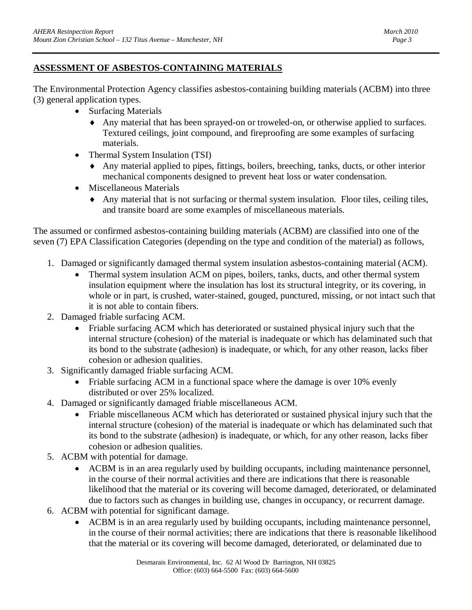#### **ASSESSMENT OF ASBESTOS-CONTAINING MATERIALS**

The Environmental Protection Agency classifies asbestos-containing building materials (ACBM) into three (3) general application types.

- Surfacing Materials
	- ♦ Any material that has been sprayed-on or troweled-on, or otherwise applied to surfaces. Textured ceilings, joint compound, and fireproofing are some examples of surfacing materials.
- Thermal System Insulation (TSI)
	- ♦ Any material applied to pipes, fittings, boilers, breeching, tanks, ducts, or other interior mechanical components designed to prevent heat loss or water condensation.
- Miscellaneous Materials
	- ♦ Any material that is not surfacing or thermal system insulation. Floor tiles, ceiling tiles, and transite board are some examples of miscellaneous materials.

The assumed or confirmed asbestos-containing building materials (ACBM) are classified into one of the seven (7) EPA Classification Categories (depending on the type and condition of the material) as follows,

- 1. Damaged or significantly damaged thermal system insulation asbestos-containing material (ACM).
	- Thermal system insulation ACM on pipes, boilers, tanks, ducts, and other thermal system insulation equipment where the insulation has lost its structural integrity, or its covering, in whole or in part, is crushed, water-stained, gouged, punctured, missing, or not intact such that it is not able to contain fibers.
- 2. Damaged friable surfacing ACM.
	- Friable surfacing ACM which has deteriorated or sustained physical injury such that the internal structure (cohesion) of the material is inadequate or which has delaminated such that its bond to the substrate (adhesion) is inadequate, or which, for any other reason, lacks fiber cohesion or adhesion qualities.
- 3. Significantly damaged friable surfacing ACM.
	- Friable surfacing ACM in a functional space where the damage is over 10% evenly distributed or over 25% localized.
- 4. Damaged or significantly damaged friable miscellaneous ACM.
	- Friable miscellaneous ACM which has deteriorated or sustained physical injury such that the internal structure (cohesion) of the material is inadequate or which has delaminated such that its bond to the substrate (adhesion) is inadequate, or which, for any other reason, lacks fiber cohesion or adhesion qualities.
- 5. ACBM with potential for damage.
	- ACBM is in an area regularly used by building occupants, including maintenance personnel, in the course of their normal activities and there are indications that there is reasonable likelihood that the material or its covering will become damaged, deteriorated, or delaminated due to factors such as changes in building use, changes in occupancy, or recurrent damage.
- 6. ACBM with potential for significant damage.
	- ACBM is in an area regularly used by building occupants, including maintenance personnel, in the course of their normal activities; there are indications that there is reasonable likelihood that the material or its covering will become damaged, deteriorated, or delaminated due to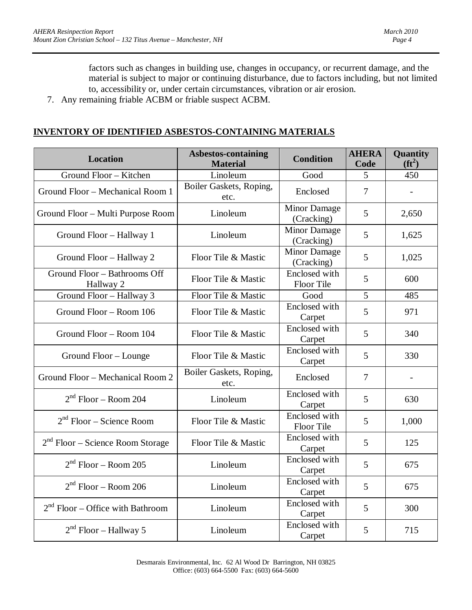factors such as changes in building use, changes in occupancy, or recurrent damage, and the material is subject to major or continuing disturbance, due to factors including, but not limited to, accessibility or, under certain circumstances, vibration or air erosion.

7. Any remaining friable ACBM or friable suspect ACBM.

#### **INVENTORY OF IDENTIFIED ASBESTOS-CONTAINING MATERIALS**

| <b>Location</b>                           | <b>Asbestos-containing</b><br><b>Material</b> | <b>Condition</b>                  | <b>AHERA</b><br>Code | Quantity<br>$(f\mathbf{t}^2)$ |
|-------------------------------------------|-----------------------------------------------|-----------------------------------|----------------------|-------------------------------|
| Ground Floor - Kitchen                    | Linoleum                                      | Good                              | 5                    | 450                           |
| Ground Floor - Mechanical Room 1          | Boiler Gaskets, Roping,<br>etc.               | Enclosed                          | $\overline{7}$       |                               |
| Ground Floor - Multi Purpose Room         | Linoleum                                      | Minor Damage<br>(Cracking)        | 5                    | 2,650                         |
| Ground Floor - Hallway 1                  | Linoleum                                      | <b>Minor Damage</b><br>(Cracking) | 5                    | 1,625                         |
| Ground Floor - Hallway 2                  | Floor Tile & Mastic                           | Minor Damage<br>(Cracking)        | 5                    | 1,025                         |
| Ground Floor - Bathrooms Off<br>Hallway 2 | Floor Tile & Mastic                           | Enclosed with<br>Floor Tile       | 5                    | 600                           |
| Ground Floor - Hallway 3                  | Floor Tile & Mastic                           | Good                              | 5                    | 485                           |
| Ground Floor - Room 106                   | Floor Tile & Mastic                           | Enclosed with<br>Carpet           | 5                    | 971                           |
| Ground Floor - Room 104                   | Floor Tile & Mastic                           | Enclosed with<br>Carpet           | 5                    | 340                           |
| Ground Floor - Lounge                     | Floor Tile & Mastic                           | Enclosed with<br>Carpet           | 5                    | 330                           |
| Ground Floor – Mechanical Room 2          | Boiler Gaskets, Roping,<br>etc.               | Enclosed                          | $\overline{7}$       |                               |
| $2nd$ Floor – Room 204                    | Linoleum                                      | Enclosed with<br>Carpet           | 5                    | 630                           |
| $2nd$ Floor – Science Room                | Floor Tile & Mastic                           | Enclosed with<br>Floor Tile       | 5                    | 1,000                         |
| $2nd$ Floor – Science Room Storage        | Floor Tile & Mastic                           | Enclosed with<br>Carpet           | 5                    | 125                           |
| $2nd$ Floor – Room 205                    | Linoleum                                      | Enclosed with<br>Carpet           | 5                    | 675                           |
| $2nd$ Floor – Room 206                    | Linoleum                                      | Enclosed with<br>Carpet           | 5                    | 675                           |
| $2nd$ Floor – Office with Bathroom        | Linoleum                                      | Enclosed with<br>Carpet           | 5                    | 300                           |
| $2nd$ Floor – Hallway 5                   | Linoleum                                      | Enclosed with<br>Carpet           | 5                    | 715                           |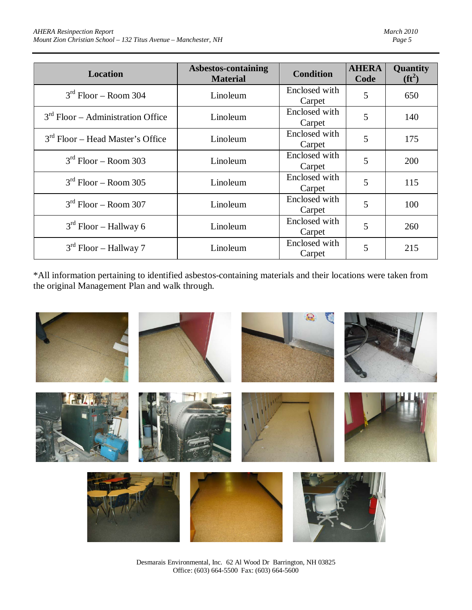| <b>Location</b>                     | Asbestos-containing<br><b>Material</b> | <b>Condition</b>        | <b>AHERA</b><br>Code | <b>Quantity</b><br>$(f\mathbf{t}^2)$ |
|-------------------------------------|----------------------------------------|-------------------------|----------------------|--------------------------------------|
| $3rd$ Floor – Room 304              | Linoleum                               | Enclosed with<br>Carpet | 5                    | 650                                  |
| $3rd$ Floor – Administration Office | Linoleum                               | Enclosed with<br>Carpet | 5                    | 140                                  |
| $3rd$ Floor – Head Master's Office  | Linoleum                               | Enclosed with<br>Carpet | 5                    | 175                                  |
| $3rd$ Floor – Room 303              | Linoleum                               | Enclosed with<br>Carpet | 5                    | 200                                  |
| $3rd$ Floor – Room 305              | Linoleum                               | Enclosed with<br>Carpet | 5                    | 115                                  |
| $3rd$ Floor – Room 307              | Linoleum                               | Enclosed with<br>Carpet | 5                    | 100                                  |
| $3rd$ Floor – Hallway 6             | Linoleum                               | Enclosed with<br>Carpet | 5                    | 260                                  |
| $3rd$ Floor – Hallway 7             | Linoleum                               | Enclosed with<br>Carpet | 5                    | 215                                  |

\*All information pertaining to identified asbestos-containing materials and their locations were taken from the original Management Plan and walk through.



Desmarais Environmental, Inc. 62 Al Wood Dr Barrington, NH 03825 Office: (603) 664-5500 Fax: (603) 664-5600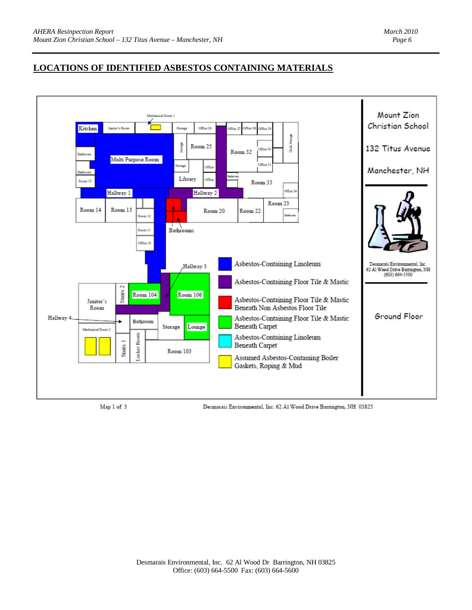#### **LOCATIONS OF IDENTIFIED ASBESTOS CONTAINING MATERIALS**



Map 1 of 3

Desmarais Environmental, Inc. 62 Al Wood Drive Barrington, NH 03825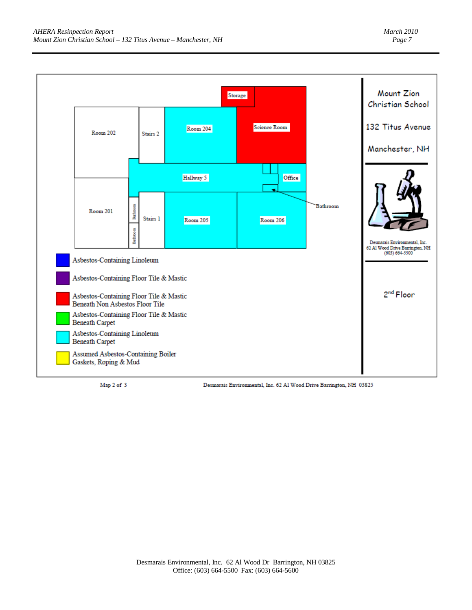

Map 2 of 3

Desmarais Environmental, Inc. 62 Al Wood Drive Barrington, NH 03825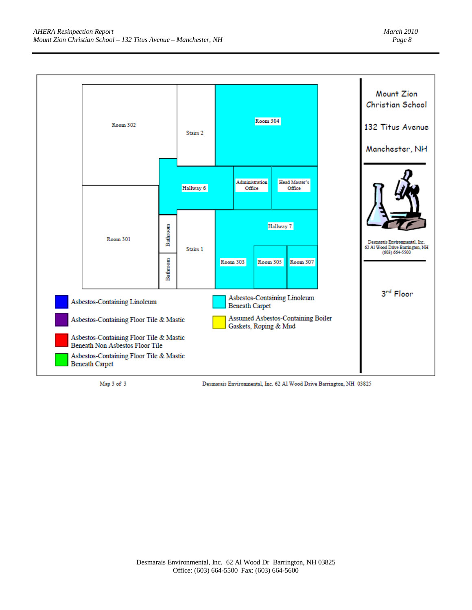

Map 3 of 3

Desmarais Environmental, Inc. 62 Al Wood Drive Barrington, NH 03825